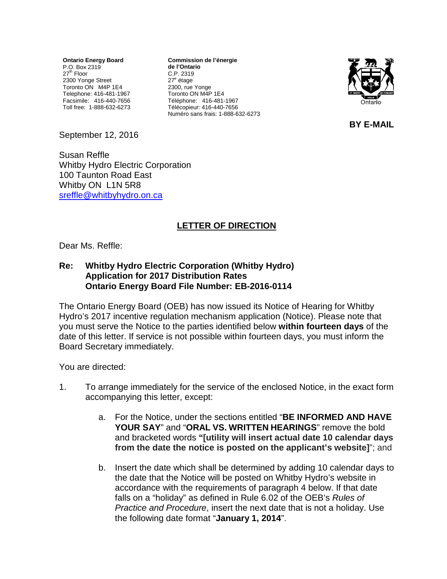**Ontario Energy Board** P.O. Box 2319 27<sup>th</sup> Floor 2300 Yonge Street Toronto ON M4P 1E4 Telephone: 416-481-1967 Facsimile: 416-440-7656 Toll free: 1-888-632-6273

**Commission de l'énergie de l'Ontario** C.P. 2319 27<sup>e</sup> étage 2300, rue Yonge Toronto ON M4P 1E4 Téléphone: 416-481-1967 Télécopieur: 416-440-7656 Numéro sans frais: 1-888-632-6273



**BY E-MAIL**

September 12, 2016

Susan Reffle Whitby Hydro Electric Corporation 100 Taunton Road East Whitby ON L1N 5R8 [sreffle@whitbyhydro.on.ca](mailto:sreffle@whitbyhydro.on.ca)

## **LETTER OF DIRECTION**

Dear Ms. Reffle:

## **Re: Whitby Hydro Electric Corporation (Whitby Hydro) Application for 2017 Distribution Rates Ontario Energy Board File Number: EB-2016-0114**

The Ontario Energy Board (OEB) has now issued its Notice of Hearing for Whitby Hydro's 2017 incentive regulation mechanism application (Notice). Please note that you must serve the Notice to the parties identified below **within fourteen days** of the date of this letter. If service is not possible within fourteen days, you must inform the Board Secretary immediately.

You are directed:

- 1. To arrange immediately for the service of the enclosed Notice, in the exact form accompanying this letter, except:
	- a. For the Notice, under the sections entitled "**BE INFORMED AND HAVE YOUR SAY**" and "**ORAL VS. WRITTEN HEARINGS**" remove the bold and bracketed words **"[utility will insert actual date 10 calendar days from the date the notice is posted on the applicant's website]**"; and
	- b. Insert the date which shall be determined by adding 10 calendar days to the date that the Notice will be posted on Whitby Hydro's website in accordance with the requirements of paragraph 4 below. If that date falls on a "holiday" as defined in Rule 6.02 of the OEB's *Rules of Practice and Procedure*, insert the next date that is not a holiday. Use the following date format "**January 1, 2014**".